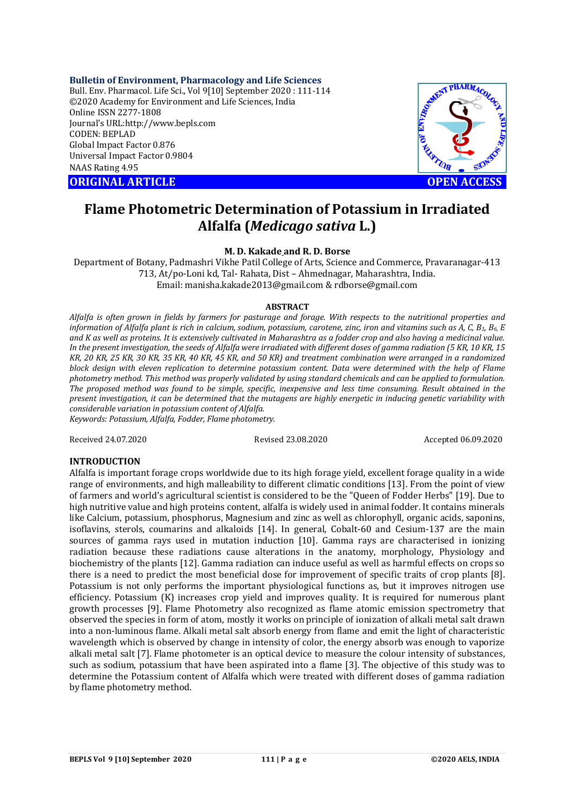#### **Bulletin of Environment, Pharmacology and Life Sciences**

Bull. Env. Pharmacol. Life Sci., Vol 9[10] September 2020 : 111-114 ©2020 Academy for Environment and Life Sciences, India Online ISSN 2277-1808 Journal's URL:<http://www.bepls.com> CODEN: BEPLAD Global Impact Factor 0.876 Universal Impact Factor 0.9804 NAAS Rating 4.95

**ORIGINAL ARTICLE OPEN ACCESS** 



# **Flame Photometric Determination of Potassium in Irradiated Alfalfa (***Medicago sativa* **L.)**

**M. D. Kakade and R. D. Borse**

Department of Botany, Padmashri Vikhe Patil College of Arts, Science and Commerce, Pravaranagar-413 713, At/po-Loni kd, Tal- Rahata, Dist – Ahmednagar, Maharashtra, India. Email: [manisha.kakade2013@gmail.com](mailto:manisha.kakade2013@gmail.com) & [rdborse@gmail.com](mailto:rdborse@gmail.com)

## **ABSTRACT**

*Alfalfa is often grown in fields by farmers for pasturage and forage. With respects to the nutritional properties and information of Alfalfa plant is rich in calcium, sodium, potassium, carotene, zinc, iron and vitamins such as A, C, B1, B6, E and K as well as proteins. It is extensively cultivated in Maharashtra as a fodder crop and also having a medicinal value. In the present investigation, the seeds of Alfalfa were irradiated with different doses of gamma radiation (5 KR, 10 KR, 15 KR, 20 KR, 25 KR, 30 KR, 35 KR, 40 KR, 45 KR, and 50 KR) and treatment combination were arranged in a randomized block design with eleven replication to determine potassium content. Data were determined with the help of Flame photometry method. This method was properly validated by using standard chemicals and can be applied to formulation. The proposed method was found to be simple, specific, inexpensive and less time consuming. Result obtained in the present investigation, it can be determined that the mutagens are highly energetic in inducing genetic variability with considerable variation in potassium content of Alfalfa. Keywords: Potassium, Alfalfa, Fodder, Flame photometry.*

Received 24.07.2020 Revised 23.08.2020 Accepted 06.09.2020

# **INTRODUCTION**

Alfalfa is important forage crops worldwide due to its high forage yield, excellent forage quality in a wide range of environments, and high malleability to different climatic conditions [13]. From the point of view of farmers and world's agricultural scientist is considered to be the "Queen of Fodder Herbs" [19]. Due to high nutritive value and high proteins content, alfalfa is widely used in animal fodder. It contains minerals like Calcium, potassium, phosphorus, Magnesium and zinc as well as chlorophyll, organic acids, saponins, isoflavins, sterols, coumarins and alkaloids [14]. In general, Cobalt-60 and Cesium-137 are the main sources of gamma rays used in mutation induction [10]. Gamma rays are characterised in ionizing radiation because these radiations cause alterations in the anatomy, morphology, Physiology and biochemistry of the plants [12]. Gamma radiation can induce useful as well as harmful effects on crops so there is a need to predict the most beneficial dose for improvement of specific traits of crop plants [8]. Potassium is not only performs the important physiological functions as, but it improves nitrogen use efficiency. Potassium (K) increases crop yield and improves quality. It is required for numerous plant growth processes [9]. Flame Photometry also recognized as flame atomic emission spectrometry that observed the species in form of atom, mostly it works on principle of ionization of alkali metal salt drawn into a non-luminous flame. Alkali metal salt absorb energy from flame and emit the light of characteristic wavelength which is observed by change in intensity of color, the energy absorb was enough to vaporize alkali metal salt [7]. Flame photometer is an optical device to measure the colour intensity of substances, such as sodium, potassium that have been aspirated into a flame [3]. The objective of this study was to determine the Potassium content of Alfalfa which were treated with different doses of gamma radiation by flame photometry method.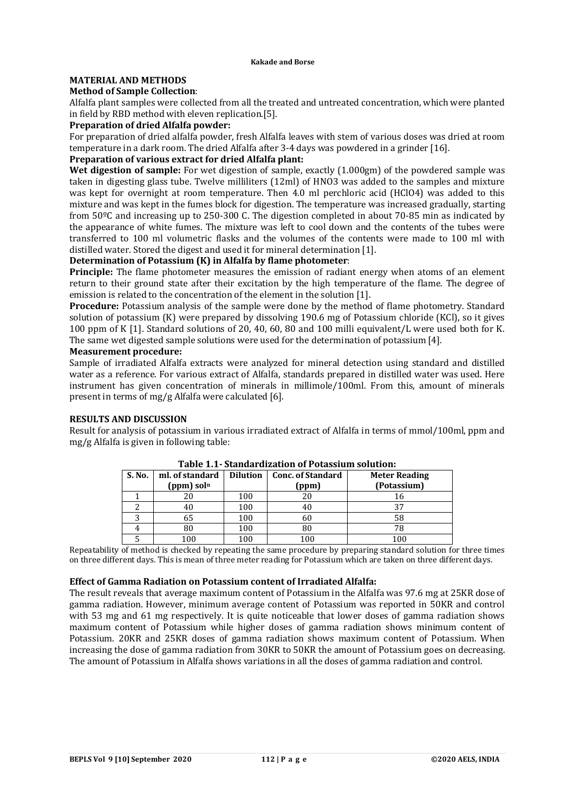# **MATERIAL AND METHODS**

### **Method of Sample Collection**:

Alfalfa plant samples were collected from all the treated and untreated concentration, which were planted in field by RBD method with eleven replication.[5].

## **Preparation of dried Alfalfa powder:**

For preparation of dried alfalfa powder, fresh Alfalfa leaves with stem of various doses was dried at room temperature in a dark room. The dried Alfalfa after 3-4 days was powdered in a grinder [16].

### **Preparation of various extract for dried Alfalfa plant:**

**Wet digestion of sample:** For wet digestion of sample, exactly (1.000gm) of the powdered sample was taken in digesting glass tube. Twelve milliliters (12ml) of HNO3 was added to the samples and mixture was kept for overnight at room temperature. Then 4.0 ml perchloric acid (HClO4) was added to this mixture and was kept in the fumes block for digestion. The temperature was increased gradually, starting from 50ºC and increasing up to 250-300 C. The digestion completed in about 70-85 min as indicated by the appearance of white fumes. The mixture was left to cool down and the contents of the tubes were transferred to 100 ml volumetric flasks and the volumes of the contents were made to 100 ml with distilled water. Stored the digest and used it for mineral determination [1].

# **Determination of Potassium (K) in Alfalfa by flame photometer**:

**Principle:** The flame photometer measures the emission of radiant energy when atoms of an element return to their ground state after their excitation by the high temperature of the flame. The degree of emission is related to the concentration of the element in the solution [1].

**Procedure:** Potassium analysis of the sample were done by the method of flame photometry. Standard solution of potassium (K) were prepared by dissolving 190.6 mg of Potassium chloride (KCl), so it gives 100 ppm of K [1]. Standard solutions of 20, 40, 60, 80 and 100 milli equivalent/L were used both for K. The same wet digested sample solutions were used for the determination of potassium [4].

## **Measurement procedure:**

Sample of irradiated Alfalfa extracts were analyzed for mineral detection using standard and distilled water as a reference. For various extract of Alfalfa, standards prepared in distilled water was used. Here instrument has given concentration of minerals in millimole/100ml. From this, amount of minerals present in terms of mg/g Alfalfa were calculated [6].

#### **RESULTS AND DISCUSSION**

Result for analysis of potassium in various irradiated extract of Alfalfa in terms of mmol/100ml, ppm and mg/g Alfalfa is given in following table:

| S. No. | ml. of standard | <b>Dilution</b> | <b>Conc. of Standard</b> | <b>Meter Reading</b> |  |
|--------|-----------------|-----------------|--------------------------|----------------------|--|
|        | $(ppm)$ soln    |                 | (ppm)                    | (Potassium)          |  |
|        |                 | 100             | 20                       | 16                   |  |
|        |                 | 100             | 40                       |                      |  |
|        | 65              | 100             | 60                       | 58                   |  |
|        | 80              | 100             | 80                       |                      |  |
|        | 100             | 100             | $100\,$                  | 100                  |  |

# **Table 1.1- Standardization of Potassium solution:**

Repeatability of method is checked by repeating the same procedure by preparing standard solution for three times on three different days. This is mean of three meter reading for Potassium which are taken on three different days.

#### **Effect of Gamma Radiation on Potassium content of Irradiated Alfalfa:**

The result reveals that average maximum content of Potassium in the Alfalfa was 97.6 mg at 25KR dose of gamma radiation. However, minimum average content of Potassium was reported in 50KR and control with 53 mg and 61 mg respectively. It is quite noticeable that lower doses of gamma radiation shows maximum content of Potassium while higher doses of gamma radiation shows minimum content of Potassium. 20KR and 25KR doses of gamma radiation shows maximum content of Potassium. When increasing the dose of gamma radiation from 30KR to 50KR the amount of Potassium goes on decreasing. The amount of Potassium in Alfalfa shows variations in all the doses of gamma radiation and control.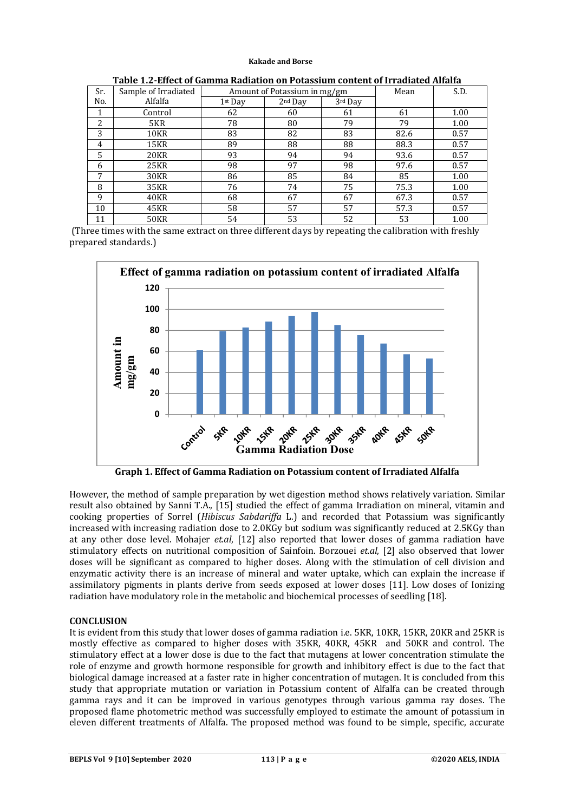#### **Kakade and Borse**

| Sr. | Sample of Irradiated | Amount of Potassium in mg/gm |           |         | Mean | S.D. |
|-----|----------------------|------------------------------|-----------|---------|------|------|
| No. | Alfalfa              | $1st$ Day                    | $2nd$ Day | 3rd Day |      |      |
|     | Control              | 62                           | 60        | 61      | 61   | 1.00 |
| 2   | 5KR                  | 78                           | 80        | 79      | 79   | 1.00 |
| 3   | 10KR                 | 83                           | 82        | 83      | 82.6 | 0.57 |
| 4   | 15KR                 | 89                           | 88        | 88      | 88.3 | 0.57 |
| 5   | 20KR                 | 93                           | 94        | 94      | 93.6 | 0.57 |
| 6   | 25KR                 | 98                           | 97        | 98      | 97.6 | 0.57 |
| 7   | 30KR                 | 86                           | 85        | 84      | 85   | 1.00 |
| 8   | 35KR                 | 76                           | 74        | 75      | 75.3 | 1.00 |
| 9   | <b>40KR</b>          | 68                           | 67        | 67      | 67.3 | 0.57 |
| 10  | 45KR                 | 58                           | 57        | 57      | 57.3 | 0.57 |
| 11  | <b>50KR</b>          | 54                           | 53        | 52      | 53   | 1.00 |

**Table 1.2-Effect of Gamma Radiation on Potassium content of Irradiated Alfalfa**

(Three times with the same extract on three different days by repeating the calibration with freshly prepared standards.)



**Graph 1. Effect of Gamma Radiation on Potassium content of Irradiated Alfalfa**

However, the method of sample preparation by wet digestion method shows relatively variation. Similar result also obtained by Sanni T.A., [15] studied the effect of gamma Irradiation on mineral, vitamin and cooking properties of Sorrel (*Hibiscus Sabdariffa* L.) and recorded that Potassium was significantly increased with increasing radiation dose to 2.0KGy but sodium was significantly reduced at 2.5KGy than at any other dose level. Mohajer *et.al*, [12] also reported that lower doses of gamma radiation have stimulatory effects on nutritional composition of Sainfoin. Borzouei *et.al*, [2] also observed that lower doses will be significant as compared to higher doses. Along with the stimulation of cell division and enzymatic activity there is an increase of mineral and water uptake, which can explain the increase if assimilatory pigments in plants derive from seeds exposed at lower doses [11]. Low doses of Ionizing radiation have modulatory role in the metabolic and biochemical processes of seedling [18].

#### **CONCLUSION**

It is evident from this study that lower doses of gamma radiation i.e. 5KR, 10KR, 15KR, 20KR and 25KR is mostly effective as compared to higher doses with 35KR, 40KR, 45KR and 50KR and control. The stimulatory effect at a lower dose is due to the fact that mutagens at lower concentration stimulate the role of enzyme and growth hormone responsible for growth and inhibitory effect is due to the fact that biological damage increased at a faster rate in higher concentration of mutagen. It is concluded from this study that appropriate mutation or variation in Potassium content of Alfalfa can be created through gamma rays and it can be improved in various genotypes through various gamma ray doses. The proposed flame photometric method was successfully employed to estimate the amount of potassium in eleven different treatments of Alfalfa. The proposed method was found to be simple, specific, accurate